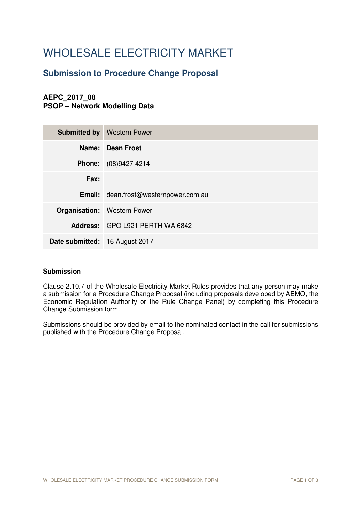# WHOLESALE ELECTRICITY MARKET

# **Submission to Procedure Change Proposal**

# **AEPC\_2017\_08 PSOP – Network Modelling Data**

|                                | <b>Submitted by   Western Power</b>          |
|--------------------------------|----------------------------------------------|
|                                | Name: Dean Frost                             |
|                                | <b>Phone:</b> (08)9427 4214                  |
| Fax:                           |                                              |
|                                | <b>Email:</b> dean.frost@westernpower.com.au |
|                                | <b>Organisation:</b> Western Power           |
|                                | Address: GPO L921 PERTH WA 6842              |
| Date submitted: 16 August 2017 |                                              |

# **Submission**

Clause 2.10.7 of the Wholesale Electricity Market Rules provides that any person may make a submission for a Procedure Change Proposal (including proposals developed by AEMO, the Economic Regulation Authority or the Rule Change Panel) by completing this Procedure Change Submission form.

Submissions should be provided by email to the nominated contact in the call for submissions published with the Procedure Change Proposal.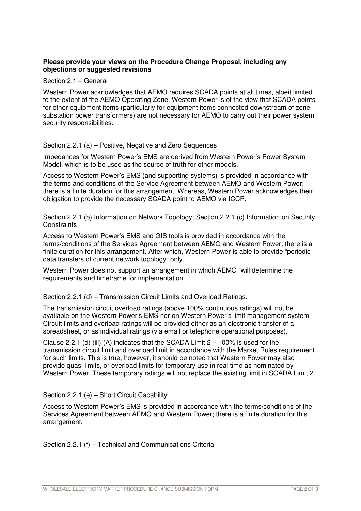# **Please provide your views on the Procedure Change Proposal, including any objections or suggested revisions**

Section 2.1 – General

Western Power acknowledges that AEMO requires SCADA points at all times, albeit limited to the extent of the AEMO Operating Zone. Western Power is of the view that SCADA points for other equipment items (particularly for equipment items connected downstream of zone substation power transformers) are not necessary for AEMO to carry out their power system security responsibilities.

#### Section 2.2.1 (a) – Positive, Negative and Zero Sequences

Impedances for Western Power's EMS are derived from Western Power's Power System Model, which is to be used as the source of truth for other models.

Access to Western Power's EMS (and supporting systems) is provided in accordance with the terms and conditions of the Service Agreement between AEMO and Western Power; there is a finite duration for this arrangement. Whereas, Western Power acknowledges their obligation to provide the necessary SCADA point to AEMO via ICCP.

Section 2.2.1 (b) Information on Network Topology; Section 2.2.1 (c) Information on Security **Constraints** 

Access to Western Power's EMS and GIS tools is provided in accordance with the terms/conditions of the Services Agreement between AEMO and Western Power; there is a finite duration for this arrangement. After which, Western Power is able to provide "periodic data transfers of current network topology" only.

Western Power does not support an arrangement in which AEMO "will determine the requirements and timeframe for implementation".

Section 2.2.1 (d) – Transmission Circuit Limits and Overload Ratings.

The transmission circuit overload ratings (above 100% continuous ratings) will not be available on the Western Power's EMS nor on Western Power's limit management system. Circuit limits and overload ratings will be provided either as an electronic transfer of a spreadsheet, or as individual ratings (via email or telephone operational purposes).

Clause 2.2.1 (d) (iii) (A) indicates that the SCADA Limit  $2 - 100\%$  is used for the transmission circuit limit and overload limit in accordance with the Market Rules requirement for such limits. This is true, however, it should be noted that Western Power may also provide quasi limits, or overload limits for temporary use in real time as nominated by Western Power. These temporary ratings will not replace the existing limit in SCADA Limit 2.

# Section 2.2.1 (e) – Short Circuit Capability

Access to Western Power's EMS is provided in accordance with the terms/conditions of the Services Agreement between AEMO and Western Power; there is a finite duration for this arrangement.

Section 2.2.1 (f) – Technical and Communications Criteria